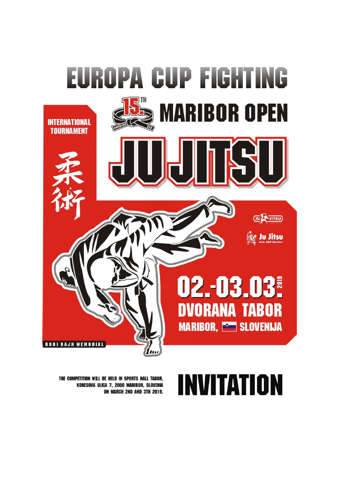

# NVITATION Ш

THE COMPETITION WILL BE HELD IN SPORTS HALL TABOR. KORESOVA ULICA 7, 2000 MARIBOR, SLOVENIA ON MARCH 2ND AND 3TH 2019.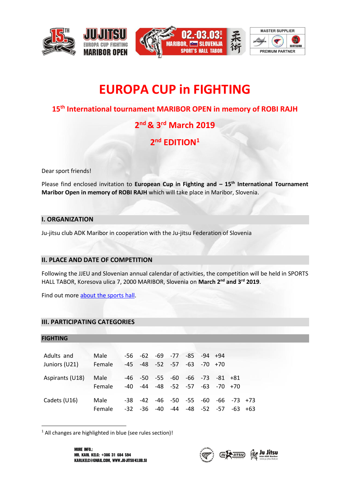







# **EUROPA CUP in FIGHTING**

### **15th International tournament MARIBOR OPEN in memory of ROBI RAJH**

## **2 nd & 3rd March 2019**

### **2 nd EDITION<sup>1</sup>**

Dear sport friends!

Please find enclosed invitation to **European Cup in Fighting and – 15th International Tournament Maribor Open in memory of ROBI RAJH** which will take place in Maribor, Slovenia.

#### **I. ORGANIZATION**

Ju-jitsu club ADK Maribor in cooperation with the Ju-jitsu Federation of Slovenia

#### **II. PLACE AND DATE OF COMPETITION**

Following the JJEU and Slovenian annual calendar of activities, the competition will be held in SPORTS HALL TABOR, Koresova ulica 7, 2000 MARIBOR, Slovenia on **March 2 nd and 3 rd 2019**.

Find out mor[e about the sports hall.](http://www.sportni-objekti-maribor.si/vsi-objekti/dvorana-tabor/o-dvorani-tabor/)

#### **III. PARTICIPATING CATEGORIES**

| <b>FIGHTING</b> |        |     |                 |     |     |                                                 |                   |             |                   |  |
|-----------------|--------|-----|-----------------|-----|-----|-------------------------------------------------|-------------------|-------------|-------------------|--|
|                 |        |     |                 |     |     |                                                 |                   |             |                   |  |
| Adults and      | Male   |     |                 |     |     | $-56$ $-62$ $-69$ $-77$ $-85$ $-94$ $+94$       |                   |             |                   |  |
| Juniors (U21)   | Female |     | -45 -48 -52 -57 |     |     |                                                 | $-63$ $-70$ $+70$ |             |                   |  |
|                 |        |     |                 |     |     |                                                 |                   |             |                   |  |
| Aspirants (U18) | Male   |     |                 |     |     | $-46$ $-50$ $-55$ $-60$ $-66$ $-73$ $-81$ $+81$ |                   |             |                   |  |
|                 | Female |     |                 |     |     | $-40$ $-44$ $-48$ $-52$ $-57$ $-63$ $-70$ $+70$ |                   |             |                   |  |
|                 |        |     |                 |     |     |                                                 |                   |             |                   |  |
| Cadets (U16)    | Male   | -38 |                 |     |     | -42 -46 -50 -55                                 | -60               |             | $-66$ $-73$ $+73$ |  |
|                 | Female |     | $-32 - 36$      | -40 | -44 |                                                 |                   | -48 -52 -57 | $-63$ $+63$       |  |

<sup>1</sup> All changes are highlighted in blue (see rules section)!

 $\overline{\phantom{a}}$ 

**MORE INFO.:** MR. KARL KELC: +386 31 684 594 KARLKELC@GMAIL.COM, WWW.JU-JITSU-KLUB.SI

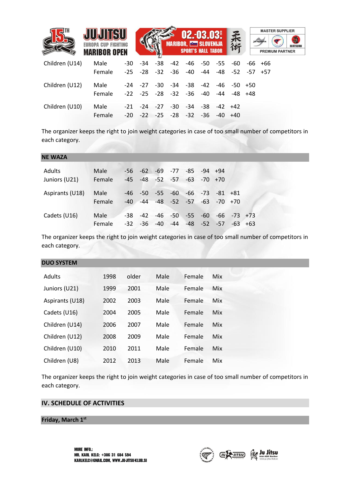|                |                            |       |                         |       |       |           | $02.-03.03$                   |     |                         |     |           | <b>MASTER SUPPLIER</b> |
|----------------|----------------------------|-------|-------------------------|-------|-------|-----------|-------------------------------|-----|-------------------------|-----|-----------|------------------------|
|                | <b>EUROPA CUP FIGHTING</b> |       |                         |       |       |           | <b>MARIBOR, SED SLOVENIJA</b> |     | 柔術                      |     | iti-sport | <b>MATSURU</b>         |
|                | <b>MARIBOR OPEN</b>        |       |                         |       |       |           | <b>SPORT'S HALL TABOR</b>     |     |                         |     |           | <b>PREMIUM PARTNER</b> |
| Children (U14) | Male                       | -30   | -34                     | -38   | -42   |           | -46 -50                       | -55 | -60                     | -66 | +66       |                        |
|                | Female                     |       | $-25 - 28 - 32$         |       | -36   | -40       | -44                           |     | $-48$ $-52$ $-57$ $+57$ |     |           |                        |
| Children (U12) | Male                       |       | -24 -27 -30             |       |       | $-34 -38$ | $-42$                         | -46 | -50 +50                 |     |           |                        |
|                | Female                     |       | $-22$ $-25$ $-28$ $-32$ |       |       | -36       | -40                           | -44 | -48                     | +48 |           |                        |
| Children (U10) | Male                       | -21   | -24 -27                 |       | -30   | -34       | -38                           |     | $-42 + 42$              |     |           |                        |
|                | Female                     | $-20$ | $-22$                   | $-25$ | $-28$ | $-32$     | -36                           |     | +40                     |     |           |                        |

The organizer keeps the right to join weight categories in case of too small number of competitors in each category.

| <b>NE WAZA</b>  |        |       |                 |                                           |     |       |                   |            |  |
|-----------------|--------|-------|-----------------|-------------------------------------------|-----|-------|-------------------|------------|--|
| Adults          | Male   | -56 - |                 | $-62$ $-69$ $-77$ $-85$                   |     |       | $-94 + 94$        |            |  |
| Juniors (U21)   | Female | -45   |                 | $-48$ $-52$ $-57$ $-63$ $-70$ $+70$       |     |       |                   |            |  |
| Aspirants (U18) | Male   | -46   |                 | $-50$ $-55$ $-60$ $-66$ $-73$ $-81$ $+81$ |     |       |                   |            |  |
|                 | Female | $-40$ |                 | $-44$ $-48$ $-52$ $-57$ $-63$ $-70$ $+70$ |     |       |                   |            |  |
| Cadets (U16)    | Male   | $-38$ | $-42$           | -46 -50 -55                               |     | $-60$ | $-66$ $-73$ $+73$ |            |  |
|                 | Female |       | $-32 - 36 - 40$ | -44                                       | -48 |       | $-52$ $-57$       | $-63 + 63$ |  |

The organizer keeps the right to join weight categories in case of too small number of competitors in each category.

| <b>DUO SYSTEM</b> |      |       |      |        |            |
|-------------------|------|-------|------|--------|------------|
| Adults            | 1998 | older | Male | Female | Mix        |
| Juniors (U21)     | 1999 | 2001  | Male | Female | <b>Mix</b> |
| Aspirants (U18)   | 2002 | 2003  | Male | Female | Mix        |
| Cadets (U16)      | 2004 | 2005  | Male | Female | Mix        |
| Children (U14)    | 2006 | 2007  | Male | Female | Mix        |
| Children (U12)    | 2008 | 2009  | Male | Female | Mix        |
| Children (U10)    | 2010 | 2011  | Male | Female | Mix        |
| Children (U8)     | 2012 | 2013  | Male | Female | Mix        |

The organizer keeps the right to join weight categories in case of too small number of competitors in each category.

#### **IV. SCHEDULE OF ACTIVITIES**

#### **Friday, March 1st**

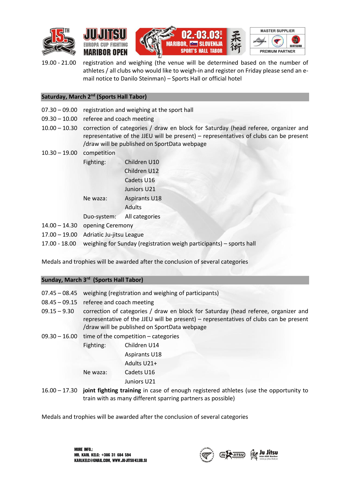







19.00 - 21.00 registration and weighing (the venue will be determined based on the number of athletes / all clubs who would like to weigh-in and register on Friday please send an email notice to Danilo Steinman) – Sports Hall or official hotel

#### **Saturday, March 2nd (Sports Hall Tabor)**

- 07.30 09.00 registration and weighing at the sport hall
- 09.30 10.00 referee and coach meeting
- 10.00 10.30 correction of categories / draw en block for Saturday (head referee, organizer and representative of the JJEU will be present) – representatives of clubs can be present /draw will be published on SportData webpage
- 10.30 19.00 competition Fighting: Children U10 Children U12 Cadets U16 Juniors U21 Ne waza: Aspirants U18 Adults Duo-system: All categories 14.00 – 14.30 opening Ceremony 17.00 – 19.00 Adriatic Ju-jitsu League
- 17.00 18.00 weighing for Sunday (registration weigh participants) sports hall

Medals and trophies will be awarded after the conclusion of several categories

#### **Sunday, March 3rd (Sports Hall Tabor)**

| $07.45 - 08.45$                         |                                                                                                                                                                                                                             | weighing (registration and weighing of participants)                                  |  |  |  |  |  |  |
|-----------------------------------------|-----------------------------------------------------------------------------------------------------------------------------------------------------------------------------------------------------------------------------|---------------------------------------------------------------------------------------|--|--|--|--|--|--|
| 08.45 - 09.15 referee and coach meeting |                                                                                                                                                                                                                             |                                                                                       |  |  |  |  |  |  |
| $09.15 - 9.30$                          | correction of categories / draw en block for Saturday (head referee, organizer and<br>representative of the JJEU will be present) - representatives of clubs can be present<br>/draw will be published on SportData webpage |                                                                                       |  |  |  |  |  |  |
|                                         |                                                                                                                                                                                                                             | $09.30 - 16.00$ time of the competition – categories                                  |  |  |  |  |  |  |
|                                         | Fighting:                                                                                                                                                                                                                   | Children U14                                                                          |  |  |  |  |  |  |
|                                         |                                                                                                                                                                                                                             | <b>Aspirants U18</b>                                                                  |  |  |  |  |  |  |
|                                         |                                                                                                                                                                                                                             | Adults U21+                                                                           |  |  |  |  |  |  |
|                                         | Ne waza:                                                                                                                                                                                                                    | Cadets U16                                                                            |  |  |  |  |  |  |
|                                         |                                                                                                                                                                                                                             | Juniors U21                                                                           |  |  |  |  |  |  |
| 1000                                    |                                                                                                                                                                                                                             | tat fiskting tasiaing in seen of energe assistenced stelsten free the energet airs to |  |  |  |  |  |  |

16.00 – 17.30 **joint fighting training** in case of enough registered athletes (use the opportunity to train with as many different sparring partners as possible)

Medals and trophies will be awarded after the conclusion of several categories

MORE INFO.: MR. KARL KELC: +386 31 684 594 KARLKELC@GMAIL.COM, WWW.JU-JITSU-KLUB.SI

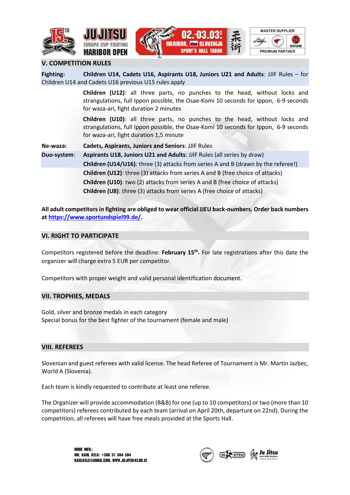







#### **V. COMPETITION RULES**

| Fighting:                                                                                                                                                                   | Children U14, Cadets U16, Aspirants U18, Juniors U21 and Adults: JJIF Rules - for<br>Children U14 and Cadets U16 previous U15 rules apply                                                                             |  |  |  |  |  |  |  |                                                                                     |
|-----------------------------------------------------------------------------------------------------------------------------------------------------------------------------|-----------------------------------------------------------------------------------------------------------------------------------------------------------------------------------------------------------------------|--|--|--|--|--|--|--|-------------------------------------------------------------------------------------|
|                                                                                                                                                                             | Children (U12): all three parts, no punches to the head, without locks and<br>strangulations, full Ippon possible, the Osae-Komi 10 seconds for Ippon, 6-9 seconds<br>for waza-ari, fight duration 2 minutes          |  |  |  |  |  |  |  |                                                                                     |
|                                                                                                                                                                             | <b>Children (U10)</b> : all three parts, no punches to the head, without locks and<br>strangulations, full Ippon possible, the Osae-Komi 10 seconds for Ippon, 6-9 seconds<br>for waza-ari, fight duration 1,5 minute |  |  |  |  |  |  |  |                                                                                     |
| Ne-waza:                                                                                                                                                                    | <b>Cadets, Aspirants, Juniors and Seniors: JJIF Rules</b>                                                                                                                                                             |  |  |  |  |  |  |  |                                                                                     |
| Duo-system:                                                                                                                                                                 | Aspirants U18, Juniors U21 and Adults: JJIF Rules (all series by draw)                                                                                                                                                |  |  |  |  |  |  |  |                                                                                     |
| <b>Children (U14/U16)</b> : three (3) attacks from series A and B (drawn by the referee!)<br>Children (U12): three (3) attacks from series A and B (free choice of attacks) |                                                                                                                                                                                                                       |  |  |  |  |  |  |  |                                                                                     |
|                                                                                                                                                                             |                                                                                                                                                                                                                       |  |  |  |  |  |  |  | <b>Children (U10):</b> two (2) attacks from series A and B (free choice of attacks) |
| <b>Children (U8):</b> three (3) attacks from series A (free choice of attacks)                                                                                              |                                                                                                                                                                                                                       |  |  |  |  |  |  |  |                                                                                     |

**All adult competitors in fighting are obliged to wear official JJEU back-numbers. Order back numbers a[t https://www.sportundspiel99.de/.](https://www.sportundspiel99.de/)** 

#### **VI. RIGHT TO PARTICIPATE**

Competitors registered before the deadline: **February 15th .** For late registrations after this date the organizer will charge extra 5 EUR per competitor.

Competitors with proper weight and valid personal identification document.

#### **VII. TROPHIES, MEDALS**

Gold, silver and bronze medals in each category Special bonus for the best fighter of the tournament (female and male)

#### **VIII. REFEREES**

Slovenian and guest referees with valid license. The head Referee of Tournament is Mr. Martin Jazbec, World A (Slovenia).

Each team is kindly requested to contribute at least one referee.

The Organizer will provide accommodation (B&B) for one (up to 10 competitors) or two (more than 10 competitors) referees contributed by each team (arrival on April 20th, departure on 22nd). During the competition, all referees will have free meals provided at the Sports Hall.

> MORE INFO: MR. KARL KELC: +386 31 684 594 KARLKELC@GMAIL.COM, WWW.JU-JITSU-KLUB.SI

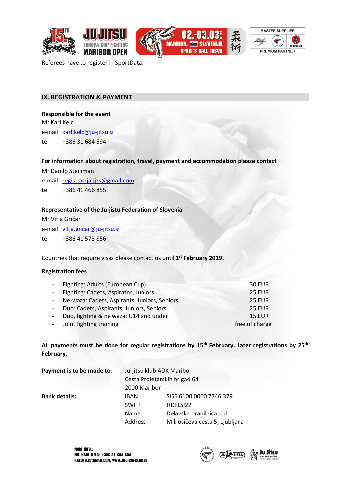







Referees have to register in SportData.

#### **IX. REGISTRATION & PAYMENT**

#### **Responsible for the event**

Mr Karl Kelc e-mail [karl.kelc@ju-jitsu.si](mailto:karl.kelc@ju-jitsu.si)

tel +386 31 684 594

#### **For information about registration, travel, payment and accommodation please contact**

Mr Danilo Steinman

e-mail [registracija.jjzs@gmail.com](mailto:registarcija.jjzs@gmail.com)  tel +386 41 466 855

#### **Representative of the Ju-jistu Federation of Slovenia**

Mr Vitja Gričar e-mail [vitja.gricar@ju-jitsu.si](mailto:vitja.gricar@ju-jitsu.si)

tel +386 41 578 856

Countries that require visas please contact us until **1 st February 2019.**

#### **Registration fees**

| - Fighting: Adults (European Cup)              | <b>30 EUR</b>  |
|------------------------------------------------|----------------|
| - Fighting: Cadets, Aspiratns, Juniors         | <b>25 EUR</b>  |
| - Ne-waza: Cadets, Aspirants, Juniors, Seniors | <b>25 EUR</b>  |
| - Duo: Cadets, Aspirants, Juniors, Seniors     | <b>25 EUR</b>  |
| - Duo, fighting & ne waza: U14 and under       | <b>15 EUR</b>  |
| - Joint fighting training                      | free of charge |

**All payments must be done for regular registrations by 15th February. Later registrations by 25th February.** 

| Payment is to be made to: | Ju-jitsu klub ADK Maribor    |                                |  |  |  |  |  |
|---------------------------|------------------------------|--------------------------------|--|--|--|--|--|
|                           | Cesta Proletarskih brigad 64 |                                |  |  |  |  |  |
|                           | 2000 Maribor                 |                                |  |  |  |  |  |
| <b>Bank details:</b>      | <b>IBAN</b>                  | SI56 6100 0000 7746 379        |  |  |  |  |  |
|                           | <b>SWIFT</b>                 | HDELSI22                       |  |  |  |  |  |
|                           | Name                         | Delavska hranilnica d.d.       |  |  |  |  |  |
|                           | Address                      | Miklošičeva cesta 5, Ljubljana |  |  |  |  |  |

**MORE INFO.:** MR. KARL KELC: +386 31 684 594 KARLKELC@GMAIL.COM, WWW.JU-JITSU-KLUB.SI